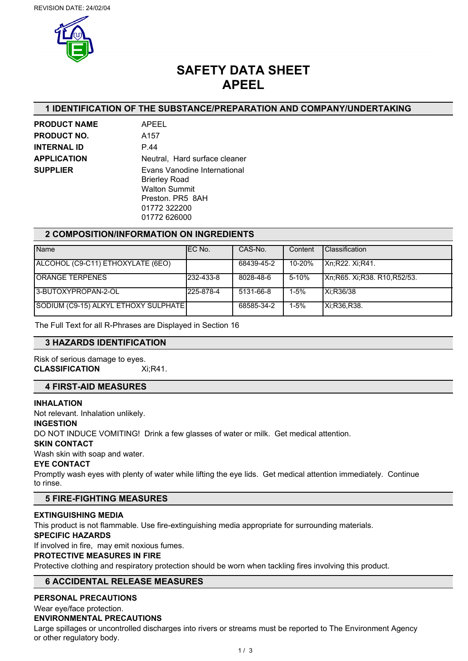

# **SAFETY DATA SHEET APEEL**

## **1 IDENTIFICATION OF THE SUBSTANCE/PREPARATION AND COMPANY/UNDERTAKING**

| <b>PRODUCT NAME</b> |
|---------------------|
| <b>PRODUCT NO.</b>  |
| <b>INTERNAL ID</b>  |
| <b>APPLICATION</b>  |
| <b>SUPPLIER</b>     |
|                     |

**PRODUCT NAME** APEEL **PRODUCT NO.** A157 **INTERNAL ID** P.44 **Neutral, Hard surface cleaner Evans Vanodine International** Brierley Road Walton Summit Preston. PR5 8AH 01772 322200 01772 626000

## **2 COMPOSITION/INFORMATION ON INGREDIENTS**

| <b>Name</b>                          | IEC No.   | CAS-No.    | Content  | <b>Classification</b>       |
|--------------------------------------|-----------|------------|----------|-----------------------------|
| ALCOHOL (C9-C11) ETHOXYLATE (6EO)    |           | 68439-45-2 | 10-20%   | IXn:R22. Xi:R41.            |
| <b>IORANGE TERPENES</b>              | 232-433-8 | 8028-48-6  | 5-10%    | Xn;R65. Xi;R38. R10,R52/53. |
| 13-BUTOXYPROPAN-2-OL                 | 225-878-4 | 5131-66-8  | $1-5%$   | Xi:R36/38                   |
| SODIUM (C9-15) ALKYL ETHOXY SULPHATE |           | 68585-34-2 | $1 - 5%$ | IXi:R36.R38.                |

The Full Text for all R-Phrases are Displayed in Section 16

## **3 HAZARDS IDENTIFICATION**

# Risk of serious damage to eyes.

**CLASSIFICATION** Xi;R41.

## **4 FIRST-AID MEASURES**

#### **INHALATION**

Not relevant. Inhalation unlikely.

#### **INGESTION**

DO NOT INDUCE VOMITING! Drink a few glasses of water or milk. Get medical attention.

## **SKIN CONTACT**

Wash skin with soap and water.

#### **EYE CONTACT**

Promptly wash eyes with plenty of water while lifting the eye lids. Get medical attention immediately. Continue to rinse.

## **5 FIRE-FIGHTING MEASURES**

## **EXTINGUISHING MEDIA**

This product is not flammable. Use fire-extinguishing media appropriate for surrounding materials.

#### **SPECIFIC HAZARDS**

If involved in fire, may emit noxious fumes.

## **PROTECTIVE MEASURES IN FIRE**

Protective clothing and respiratory protection should be worn when tackling fires involving this product.

## **6 ACCIDENTAL RELEASE MEASURES**

## **PERSONAL PRECAUTIONS**

Wear eye/face protection.

## **ENVIRONMENTAL PRECAUTIONS**

Large spillages or uncontrolled discharges into rivers or streams must be reported to The Environment Agency or other regulatory body.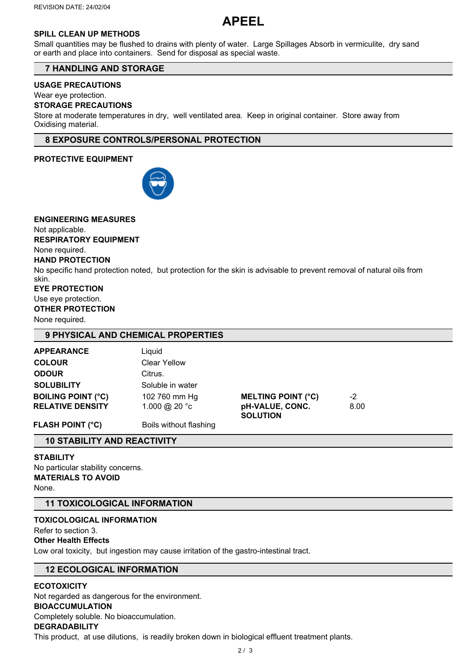# **APEEL**

## **SPILL CLEAN UP METHODS**

Small quantities may be flushed to drains with plenty of water. Large Spillages Absorb in vermiculite, dry sand or earth and place into containers. Send for disposal as special waste.

## **7 HANDLING AND STORAGE**

## **USAGE PRECAUTIONS**

Wear eye protection.

## **STORAGE PRECAUTIONS**

Store at moderate temperatures in dry, well ventilated area. Keep in original container. Store away from Oxidising material.

## **8 EXPOSURE CONTROLS/PERSONAL PROTECTION**

## **PROTECTIVE EQUIPMENT**



**ENGINEERING MEASURES** Not applicable. **RESPIRATORY EQUIPMENT** None required. **HAND PROTECTION** No specific hand protection noted, but protection for the skin is advisable to prevent removal of natural oils from skin. **EYE PROTECTION** Use eye protection. **OTHER PROTECTION** None required. **9 PHYSICAL AND CHEMICAL PROPERTIES APPEARANCE** Liquid **COLOUR** Clear Yellow

| <b>FLASH POINT (°C)</b>   | Boils without flashing  |                                    |      |  |
|---------------------------|-------------------------|------------------------------------|------|--|
| <b>RELATIVE DENSITY</b>   | 1.000 @ 20 $^{\circ}$ c | pH-VALUE, CONC.<br><b>SOLUTION</b> | 8.00 |  |
| <b>BOILING POINT (°C)</b> | 102 760 mm Hg           | <b>MELTING POINT (°C)</b>          | -2   |  |
| <b>SOLUBILITY</b>         | Soluble in water        |                                    |      |  |
| <b>ODOUR</b>              | Citrus.                 |                                    |      |  |
|                           |                         |                                    |      |  |

## **10 STABILITY AND REACTIVITY**

**STABILITY** No particular stability concerns. **MATERIALS TO AVOID** None.

## **11 TOXICOLOGICAL INFORMATION**

## **TOXICOLOGICAL INFORMATION**

## Refer to section 3.

## **Other Health Effects**

Low oral toxicity, but ingestion may cause irritation of the gastro-intestinal tract.

## **12 ECOLOGICAL INFORMATION**

## **ECOTOXICITY**

Not regarded as dangerous for the environment.

# **BIOACCUMULATION**

Completely soluble. No bioaccumulation.

## **DEGRADABILITY**

This product, at use dilutions, is readily broken down in biological effluent treatment plants.